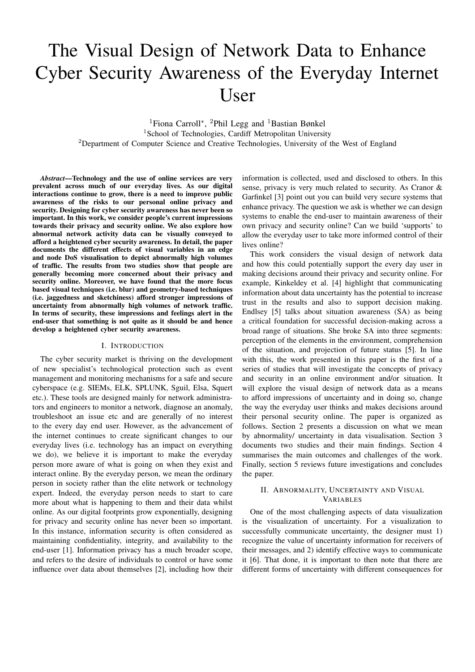# The Visual Design of Network Data to Enhance Cyber Security Awareness of the Everyday Internet User

<sup>1</sup>Fiona Carroll<sup>∗</sup>, <sup>2</sup>Phil Legg and <sup>1</sup>Bastian Bønkel <sup>1</sup>School of Technologies, Cardiff Metropolitan University <sup>2</sup>Department of Computer Science and Creative Technologies, University of the West of England

*Abstract*—Technology and the use of online services are very prevalent across much of our everyday lives. As our digital interactions continue to grow, there is a need to improve public awareness of the risks to our personal online privacy and security. Designing for cyber security awareness has never been so important. In this work, we consider people's current impressions towards their privacy and security online. We also explore how abnormal network activity data can be visually conveyed to afford a heightened cyber security awareness. In detail, the paper documents the different effects of visual variables in an edge and node DoS visualisation to depict abnormally high volumes of traffic. The results from two studies show that people are generally becoming more concerned about their privacy and security online. Moreover, we have found that the more focus based visual techniques (i.e. blur) and geometry-based techniques (i.e. jaggedness and sketchiness) afford stronger impressions of uncertainty from abnormally high volumes of network traffic. In terms of security, these impressions and feelings alert in the end-user that something is not quite as it should be and hence develop a heightened cyber security awareness.

## I. INTRODUCTION

The cyber security market is thriving on the development of new specialist's technological protection such as event management and monitoring mechanisms for a safe and secure cyberspace (e.g. SIEMs, ELK, SPLUNK, Sguil, Elsa, Squert etc.). These tools are designed mainly for network administrators and engineers to monitor a network, diagnose an anomaly, troubleshoot an issue etc and are generally of no interest to the every day end user. However, as the advancement of the internet continues to create significant changes to our everyday lives (i.e. technology has an impact on everything we do), we believe it is important to make the everyday person more aware of what is going on when they exist and interact online. By the everyday person, we mean the ordinary person in society rather than the elite network or technology expert. Indeed, the everyday person needs to start to care more about what is happening to them and their data whilst online. As our digital footprints grow exponentially, designing for privacy and security online has never been so important. In this instance, information security is often considered as maintaining confidentiality, integrity, and availability to the end-user [1]. Information privacy has a much broader scope, and refers to the desire of individuals to control or have some influence over data about themselves [2], including how their

information is collected, used and disclosed to others. In this sense, privacy is very much related to security. As Cranor & Garfinkel [3] point out you can build very secure systems that enhance privacy. The question we ask is whether we can design systems to enable the end-user to maintain awareness of their own privacy and security online? Can we build 'supports' to allow the everyday user to take more informed control of their lives online?

This work considers the visual design of network data and how this could potentially support the every day user in making decisions around their privacy and security online. For example, Kinkeldey et al. [4] highlight that communicating information about data uncertainty has the potential to increase trust in the results and also to support decision making. Endlsey [5] talks about situation awareness (SA) as being a critical foundation for successful decision-making across a broad range of situations. She broke SA into three segments: perception of the elements in the environment, comprehension of the situation, and projection of future status [5]. In line with this, the work presented in this paper is the first of a series of studies that will investigate the concepts of privacy and security in an online environment and/or situation. It will explore the visual design of network data as a means to afford impressions of uncertainty and in doing so, change the way the everyday user thinks and makes decisions around their personal security online. The paper is organized as follows. Section 2 presents a discussion on what we mean by abnormality/ uncertainty in data visualisation. Section 3 documents two studies and their main findings. Section 4 summarises the main outcomes and challenges of the work. Finally, section 5 reviews future investigations and concludes the paper.

# II. ABNORMALITY, UNCERTAINTY AND VISUAL VARIABLES

One of the most challenging aspects of data visualization is the visualization of uncertainty. For a visualization to successfully communicate uncertainty, the designer must 1) recognize the value of uncertainty information for receivers of their messages, and 2) identify effective ways to communicate it [6]. That done, it is important to then note that there are different forms of uncertainty with different consequences for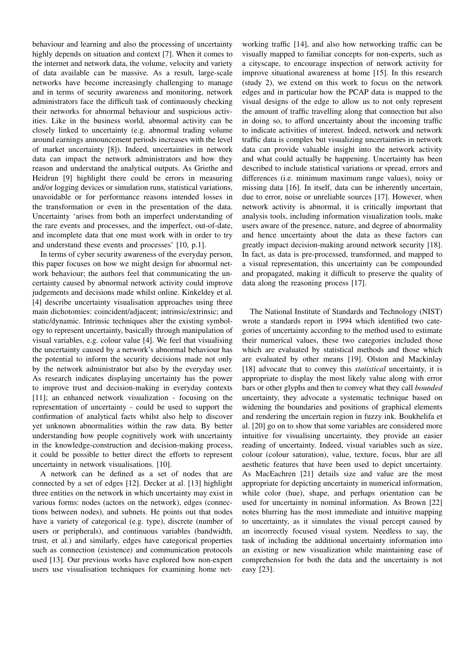behaviour and learning and also the processing of uncertainty highly depends on situation and context [7]. When it comes to the internet and network data, the volume, velocity and variety of data available can be massive. As a result, large-scale networks have become increasingly challenging to manage and in terms of security awareness and monitoring, network administrators face the difficult task of continuously checking their networks for abnormal behaviour and suspicious activities. Like in the business world, abnormal activity can be closely linked to uncertainty (e.g. abnormal trading volume around earnings announcement periods increases with the level of market uncertainty [8]). Indeed, uncertainties in network data can impact the network administrators and how they reason and understand the analytical outputs. As Griethe and Heidrun [9] highlight there could be errors in measuring and/or logging devices or simulation runs, statistical variations, unavoidable or for performance reasons intended losses in the transformation or even in the presentation of the data. Uncertainty 'arises from both an imperfect understanding of the rare events and processes, and the imperfect, out-of-date, and incomplete data that one must work with in order to try and understand these events and processes' [10, p.1].

In terms of cyber security awareness of the everyday person, this paper focuses on how we might design for abnormal network behaviour; the authors feel that communicating the uncertainty caused by abnormal network activity could improve judgements and decisions made whilst online. Kinkeldey et al. [4] describe uncertainty visualisation approaches using three main dichotomies: coincident/adjacent; intrinsic/extrinsic; and static/dynamic. Intrinsic techniques alter the existing symbology to represent uncertainty, basically through manipulation of visual variables, e.g. colour value [4]. We feel that visualising the uncertainty caused by a network's abnormal behaviour has the potential to inform the security decisions made not only by the network administrator but also by the everyday user. As research indicates displaying uncertainty has the power to improve trust and decision-making in everyday contexts [11]; an enhanced network visualization - focusing on the representation of uncertainty - could be used to support the confirmation of analytical facts whilst also help to discover yet unknown abnormalities within the raw data. By better understanding how people cognitively work with uncertainty in the knowledge-construction and decision-making process, it could be possible to better direct the efforts to represent uncertainty in network visualisations. [10].

A network can be defined as a set of nodes that are connected by a set of edges [12]. Decker at al. [13] highlight three entities on the network in which uncertainty may exist in various forms: nodes (actors on the network), edges (connections between nodes), and subnets. He points out that nodes have a variety of categorical (e.g. type), discrete (number of users or peripherals), and continuous variables (bandwidth, trust, et al.) and similarly, edges have categorical properties such as connection (existence) and communication protocols used [13]. Our previous works have explored how non-expert users use visualisation techniques for examining home net-

working traffic [14], and also how networking traffic can be visually mapped to familiar concepts for non-experts, such as a cityscape, to encourage inspection of network activity for improve situational awareness at home [15]. In this research (study 2), we extend on this work to focus on the network edges and in particular how the PCAP data is mapped to the visual designs of the edge to allow us to not only represent the amount of traffic travelling along that connection but also in doing so, to afford uncertainty about the incoming traffic to indicate activities of interest. Indeed, network and network traffic data is complex but visualizing uncertainties in network data can provide valuable insight into the network activity and what could actually be happening. Uncertainty has been described to include statistical variations or spread, errors and differences (i.e. minimum maximum range values), noisy or missing data [16]. In itself, data can be inherently uncertain, due to error, noise or unreliable sources [17]. However, when network activity is abnormal, it is critically important that analysis tools, including information visualization tools, make users aware of the presence, nature, and degree of abnormality and hence uncertainty about the data as these factors can greatly impact decision-making around network security [18]. In fact, as data is pre-processed, transformed, and mapped to a visual representation, this uncertainty can be compounded and propagated, making it difficult to preserve the quality of data along the reasoning process [17].

The National Institute of Standards and Technology (NIST) wrote a standards report in 1994 which identified two categories of uncertainty according to the method used to estimate their numerical values, these two categories included those which are evaluated by statistical methods and those which are evaluated by other means [19]. Olston and Mackinlay [18] advocate that to convey this *statistical* uncertainty, it is appropriate to display the most likely value along with error bars or other glyphs and then to convey what they call *bounded* uncertainty, they advocate a systematic technique based on widening the boundaries and positions of graphical elements and rendering the uncertain region in fuzzy ink. Boukhelifa et al. [20] go on to show that some variables are considered more intuitive for visualising uncertainty, they provide an easier reading of uncertainty. Indeed, visual variables such as size, colour (colour saturation), value, texture, focus, blur are all aesthetic features that have been used to depict uncertainty. As MacEachren [21] details size and value are the most appropriate for depicting uncertainty in numerical information, while color (hue), shape, and perhaps orientation can be used for uncertainty in nominal information. As Brown [22] notes blurring has the most immediate and intuitive mapping to uncertainty, as it simulates the visual percept caused by an incorrectly focused visual system. Needless to say, the task of including the additional uncertainty information into an existing or new visualization while maintaining ease of comprehension for both the data and the uncertainty is not easy [23].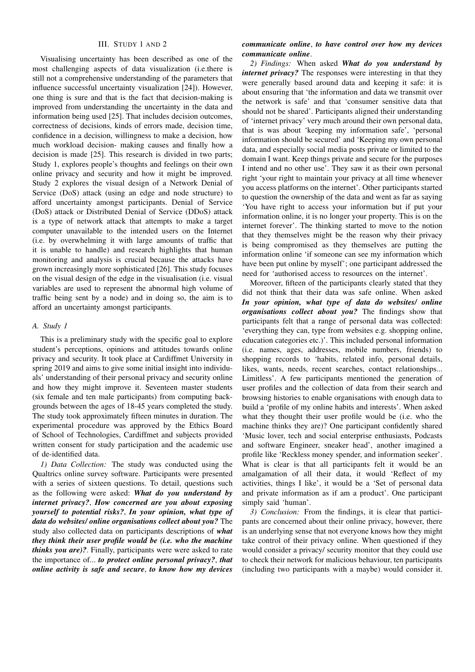## III. STUDY 1 AND 2

Visualising uncertainty has been described as one of the most challenging aspects of data visualization (i.e.there is still not a comprehensive understanding of the parameters that influence successful uncertainty visualization [24]). However, one thing is sure and that is the fact that decision-making is improved from understanding the uncertainty in the data and information being used [25]. That includes decision outcomes, correctness of decisions, kinds of errors made, decision time, confidence in a decision, willingness to make a decision, how much workload decision- making causes and finally how a decision is made [25]. This research is divided in two parts; Study 1, explores people's thoughts and feelings on their own online privacy and security and how it might be improved. Study 2 explores the visual design of a Network Denial of Service (DoS) attack (using an edge and node structure) to afford uncertainty amongst participants. Denial of Service (DoS) attack or Distributed Denial of Service (DDoS) attack is a type of network attack that attempts to make a target computer unavailable to the intended users on the Internet (i.e. by overwhelming it with large amounts of traffic that it is unable to handle) and research highlights that human monitoring and analysis is crucial because the attacks have grown increasingly more sophisticated [26]. This study focuses on the visual design of the edge in the visualisation (i.e. visual variables are used to represent the abnormal high volume of traffic being sent by a node) and in doing so, the aim is to afford an uncertainty amongst participants.

#### *A. Study 1*

This is a preliminary study with the specific goal to explore student's perceptions, opinions and attitudes towards online privacy and security. It took place at Cardiffmet University in spring 2019 and aims to give some initial insight into individuals' understanding of their personal privacy and security online and how they might improve it. Seventeen master students (six female and ten male participants) from computing backgrounds between the ages of 18-45 years completed the study. The study took approximately fifteen minutes in duration. The experimental procedure was approved by the Ethics Board of School of Technologies, Cardiffmet and subjects provided written consent for study participation and the academic use of de-identified data.

*1) Data Collection:* The study was conducted using the Qualtrics online survey software. Participants were presented with a series of sixteen questions. To detail, questions such as the following were asked: *What do you understand by internet privacy?*, *How concerned are you about exposing yourself to potential risks?*, *In your opinion, what type of data do websites/ online organisations collect about you?* The study also collected data on participants descriptions of *what they think their user profile would be (i.e. who the machine thinks you are)?*. Finally, participants were were asked to rate the importance of... *to protect online personal privacy?*, *that online activity is safe and secure*, *to know how my devices*

# *communicate online*, *to have control over how my devices communicate online*.

*2) Findings:* When asked *What do you understand by internet privacy?* The responses were interesting in that they were generally based around data and keeping it safe: it is about ensuring that 'the information and data we transmit over the network is safe' and that 'consumer sensitive data that should not be shared'. Participants aligned their understanding of 'internet privacy' very much around their own personal data, that is was about 'keeping my information safe', 'personal information should be secured' and 'Keeping my own personal data, and especially social media posts private or limited to the domain I want. Keep things private and secure for the purposes I intend and no other use'. They saw it as their own personal right 'your right to maintain your privacy at all time whenever you access platforms on the internet'. Other participants started to question the ownership of the data and went as far as saying 'You have right to access your information but if put your information online, it is no longer your property. This is on the internet forever'. The thinking started to move to the notion that they themselves might be the reason why their privacy is being compromised as they themselves are putting the information online 'if someone can see my information which have been put online by myself'; one participant addressed the need for 'authorised access to resources on the internet'.

Moreover, fifteen of the participants clearly stated that they did not think that their data was safe online. When asked *In your opinion, what type of data do websites/ online organisations collect about you?* The findings show that participants felt that a range of personal data was collected: 'everything they can, type from websites e.g. shopping online, education categories etc.)'. This included personal information (i.e. names, ages, addresses, mobile numbers, friends) to shopping records to 'habits, related info, personal details, likes, wants, needs, recent searches, contact relationships... Limitless'. A few participants mentioned the generation of user profiles and the collection of data from their search and browsing histories to enable organisations with enough data to build a 'profile of my online habits and interests'. When asked what they thought their user profile would be (i.e. who the machine thinks they are)? One participant confidently shared 'Music lover, tech and social enterprise enthusiasts, Podcasts and software Engineer, sneaker head', another imagined a profile like 'Reckless money spender, and information seeker'. What is clear is that all participants felt it would be an amalgamation of all their data, it would 'Reflect of my activities, things I like', it would be a 'Set of personal data and private information as if am a product'. One participant simply said 'human'.

*3) Conclusion:* From the findings, it is clear that participants are concerned about their online privacy, however, there is an underlying sense that not everyone knows how they might take control of their privacy online. When questioned if they would consider a privacy/ security monitor that they could use to check their network for malicious behaviour, ten participants (including two participants with a maybe) would consider it.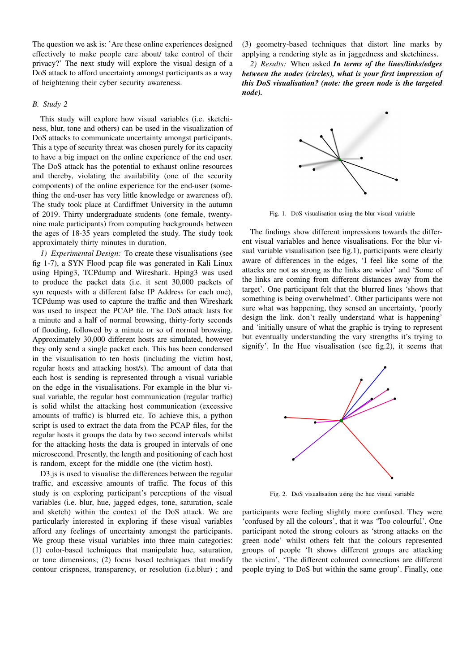The question we ask is: 'Are these online experiences designed effectively to make people care about/ take control of their privacy?' The next study will explore the visual design of a DoS attack to afford uncertainty amongst participants as a way of heightening their cyber security awareness.

# *B. Study 2*

This study will explore how visual variables (i.e. sketchiness, blur, tone and others) can be used in the visualization of DoS attacks to communicate uncertainty amongst participants. This a type of security threat was chosen purely for its capacity to have a big impact on the online experience of the end user. The DoS attack has the potential to exhaust online resources and thereby, violating the availability (one of the security components) of the online experience for the end-user (something the end-user has very little knowledge or awareness of). The study took place at Cardiffmet University in the autumn of 2019. Thirty undergraduate students (one female, twentynine male participants) from computing backgrounds between the ages of 18-35 years completed the study. The study took approximately thirty minutes in duration.

*1) Experimental Design:* To create these visualisations (see fig 1-7), a SYN Flood pcap file was generated in Kali Linux using Hping3, TCPdump and Wireshark. Hping3 was used to produce the packet data (i.e. it sent 30,000 packets of syn requests with a different false IP Address for each one), TCPdump was used to capture the traffic and then Wireshark was used to inspect the PCAP file. The DoS attack lasts for a minute and a half of normal browsing, thirty-forty seconds of flooding, followed by a minute or so of normal browsing. Approximately 30,000 different hosts are simulated, however they only send a single packet each. This has been condensed in the visualisation to ten hosts (including the victim host, regular hosts and attacking host/s). The amount of data that each host is sending is represented through a visual variable on the edge in the visualisations. For example in the blur visual variable, the regular host communication (regular traffic) is solid whilst the attacking host communication (excessive amounts of traffic) is blurred etc. To achieve this, a python script is used to extract the data from the PCAP files, for the regular hosts it groups the data by two second intervals whilst for the attacking hosts the data is grouped in intervals of one microsecond. Presently, the length and positioning of each host is random, except for the middle one (the victim host).

D3.js is used to visualise the differences between the regular traffic, and excessive amounts of traffic. The focus of this study is on exploring participant's perceptions of the visual variables (i.e. blur, hue, jagged edges, tone, saturation, scale and sketch) within the context of the DoS attack. We are particularly interested in exploring if these visual variables afford any feelings of uncertainty amongst the participants. We group these visual variables into three main categories: (1) color-based techniques that manipulate hue, saturation, or tone dimensions; (2) focus based techniques that modify contour crispness, transparency, or resolution (i.e.blur) ; and (3) geometry-based techniques that distort line marks by applying a rendering style as in jaggedness and sketchiness.

*2) Results:* When asked *In terms of the lines/links/edges between the nodes (circles), what is your first impression of this DoS visualisation? (note: the green node is the targeted node).*



Fig. 1. DoS visualisation using the blur visual variable

The findings show different impressions towards the different visual variables and hence visualisations. For the blur visual variable visualisation (see fig.1), participants were clearly aware of differences in the edges, 'I feel like some of the attacks are not as strong as the links are wider' and 'Some of the links are coming from different distances away from the target'. One participant felt that the blurred lines 'shows that something is being overwhelmed'. Other participants were not sure what was happening, they sensed an uncertainty, 'poorly design the link. don't really understand what is happening' and 'initially unsure of what the graphic is trying to represent but eventually understanding the vary strengths it's trying to signify'. In the Hue visualisation (see fig.2), it seems that



Fig. 2. DoS visualisation using the hue visual variable

participants were feeling slightly more confused. They were 'confused by all the colours', that it was 'Too colourful'. One participant noted the strong colours as 'strong attacks on the green node' whilst others felt that the colours represented groups of people 'It shows different groups are attacking the victim', 'The different coloured connections are different people trying to DoS but within the same group'. Finally, one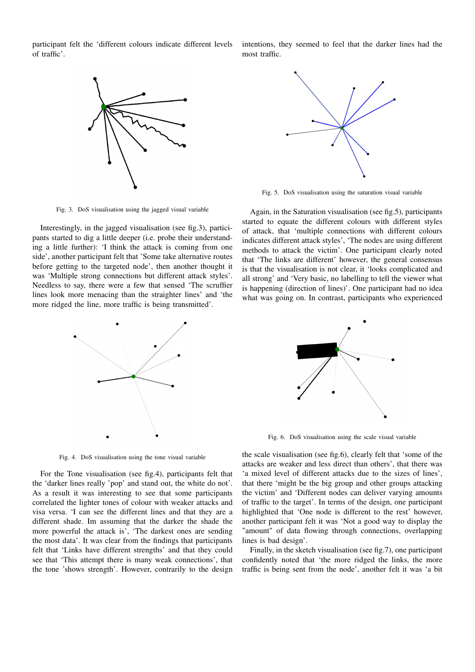participant felt the 'different colours indicate different levels of traffic'.



Fig. 3. DoS visualisation using the jagged visual variable

Interestingly, in the jagged visualisation (see fig.3), participants started to dig a little deeper (i.e. probe their understanding a little further): 'I think the attack is coming from one side', another participant felt that 'Some take alternative routes before getting to the targeted node', then another thought it was 'Multiple strong connections but different attack styles'. Needless to say, there were a few that sensed 'The scruffier lines look more menacing than the straighter lines' and 'the more ridged the line, more traffic is being transmitted'.



Fig. 4. DoS visualisation using the tone visual variable

For the Tone visualisation (see fig.4), participants felt that the 'darker lines really 'pop' and stand out, the white do not'. As a result it was interesting to see that some participants correlated the lighter tones of colour with weaker attacks and visa versa. 'I can see the different lines and that they are a different shade. Im assuming that the darker the shade the more powerful the attack is', 'The darkest ones are sending the most data'. It was clear from the findings that participants felt that 'Links have different strengths' and that they could see that 'This attempt there is many weak connections', that the tone 'shows strength'. However, contrarily to the design

intentions, they seemed to feel that the darker lines had the most traffic.



Fig. 5. DoS visualisation using the saturation visual variable

Again, in the Saturation visualisation (see fig.5), participants started to equate the different colours with different styles of attack, that 'multiple connections with different colours indicates different attack styles', 'The nodes are using different methods to attack the victim'. One participant clearly noted that 'The links are different' however, the general consensus is that the visualisation is not clear, it 'looks complicated and all strong' and 'Very basic, no labelling to tell the viewer what is happening (direction of lines)'. One participant had no idea what was going on. In contrast, participants who experienced



Fig. 6. DoS visualisation using the scale visual variable

the scale visualisation (see fig.6), clearly felt that 'some of the attacks are weaker and less direct than others', that there was 'a mixed level of different attacks due to the sizes of lines', that there 'might be the big group and other groups attacking the victim' and 'Different nodes can deliver varying amounts of traffic to the target'. In terms of the design, one participant highlighted that 'One node is different to the rest' however, another participant felt it was 'Not a good way to display the "amount" of data flowing through connections, overlapping lines is bad design'.

Finally, in the sketch visualisation (see fig.7), one participant confidently noted that 'the more ridged the links, the more traffic is being sent from the node', another felt it was 'a bit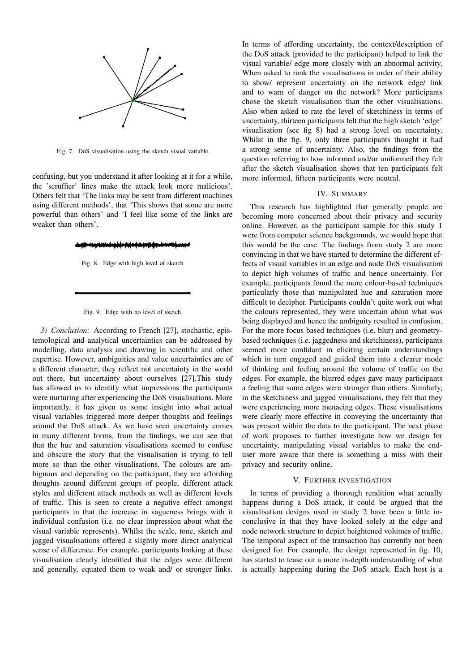

Fig. 7. DoS visualisation using the sketch visual variable

confusing, but you understand it after looking at it for a while, the 'scruffier' lines make the attack look more malicious'. Others felt that 'The links may be sent from different machines using different methods', that 'This shows that some are more powerful than others' and 'I feel like some of the links are weaker than others'.

Fig. 8. Edge with high level of sketch

#### Fig. 9. Edge with no level of sketch

*3) Conclusion:* According to French [27], stochastic, epistemological and analytical uncertainties can be addressed by modelling, data analysis and drawing in scientific and other expertise. However, ambiguities and value uncertainties are of a different character, they reflect not uncertainty in the world out there, but uncertainty about ourselves [27].This study has allowed us to identify what impressions the participants were nurturing after experiencing the DoS visualisations. More importantly, it has given us some insight into what actual visual variables triggered more deeper thoughts and feelings around the DoS attack. As we have seen uncertainty comes in many different forms, from the findings, we can see that that the hue and saturation visualisations seemed to confuse and obscure the story that the visualisation is trying to tell more so than the other visualisations. The colours are ambiguous and depending on the participant, they are affording thoughts around different groups of people, different attack styles and different attack methods as well as different levels of traffic. This is seen to create a negative effect amongst participants in that the increase in vagueness brings with it individual confusion (i.e. no clear impression about what the visual variable represents). Whilst the scale, tone, sketch and jagged visualisations offered a slightly more direct analytical sense of difference. For example, participants looking at these visualisation clearly identified that the edges were different and generally, equated them to weak and/ or stronger links.

In terms of affording uncertainty, the context/description of the DoS attack (provided to the participant) helped to link the visual variable/ edge more closely with an abnormal activity. When asked to rank the visualisations in order of their ability to show/ represent uncertainty on the network edge/ link and to warn of danger on the network? More participants chose the sketch visualisation than the other visualisations. Also when asked to rate the level of sketchiness in terms of uncertainty, thirteen participants felt that the high sketch 'edge' visualisation (see fig 8) had a strong level on uncertainty. Whilst in the fig. 9, only three participants thought it had a strong sense of uncertainty. Also, the findings from the question referring to how informed and/or uniformed they felt after the sketch visualisation shows that ten participants felt more informed, fifteen participants were neutral.

## IV. SUMMARY

This research has highlighted that generally people are becoming more concerned about their privacy and security online. However, as the participant sample for this study 1 were from computer science backgrounds, we would hope that this would be the case. The findings from study 2 are more convincing in that we have started to determine the different effects of visual variables in an edge and node DoS visualisation to depict high volumes of traffic and hence uncertainty. For example, participants found the more colour-based techniques particularly those that manipulated hue and saturation more difficult to decipher. Participants couldn't quite work out what the colours represented, they were uncertain about what was being displayed and hence the ambiguity resulted in confusion. For the more focus based techniques (i.e. blur) and geometrybased techniques (i.e. jaggedness and sketchiness), participants seemed more confidant in eliciting certain understandings which in turn engaged and guided them into a clearer mode of thinking and feeling around the volume of traffic on the edges. For example, the blurred edges gave many participants a feeling that some edges were stronger than others. Similarly, in the sketchiness and jagged visualisations, they felt that they were experiencing more menacing edges. These visualisations were clearly more effective in conveying the uncertainty that was present within the data to the participant. The next phase of work proposes to further investigate how we design for uncertainty, manipulating visual variables to make the enduser more aware that there is something a miss with their privacy and security online.

#### V. FURTHER INVESTIGATION

In terms of providing a thorough rendition what actually happens during a DoS attack, it could be argued that the visualisation designs used in study 2 have been a little inconclusive in that they have looked solely at the edge and node network structure to depict heightened volumes of traffic. The temporal aspect of the transaction has currently not been designed for. For example, the design represented in fig. 10, has started to tease out a more in-depth understanding of what is actually happening during the DoS attack. Each host is a